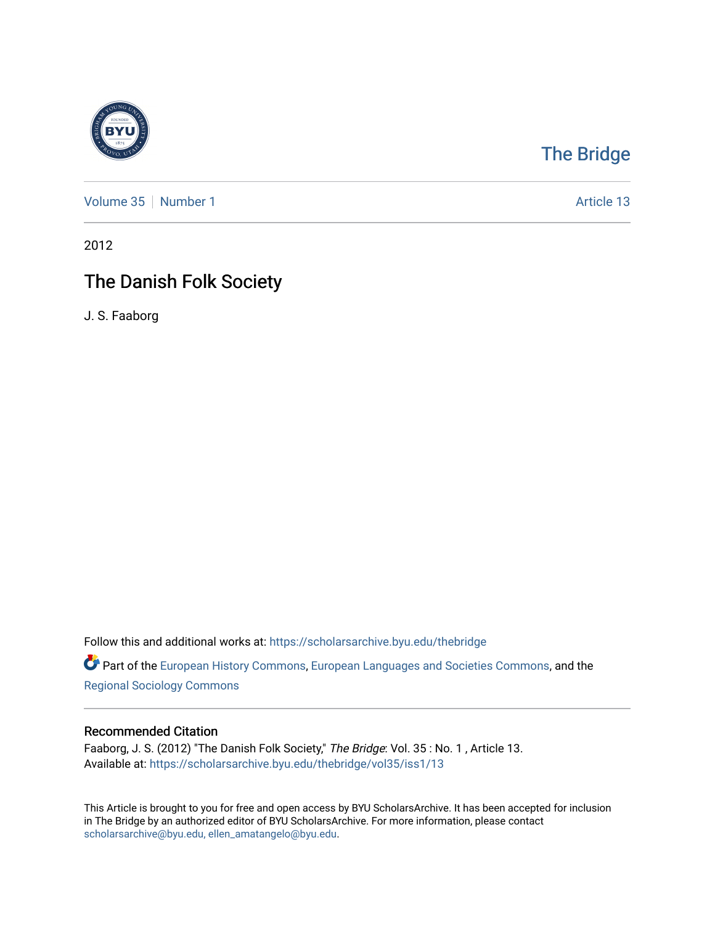

# [The Bridge](https://scholarsarchive.byu.edu/thebridge)

[Volume 35](https://scholarsarchive.byu.edu/thebridge/vol35) [Number 1](https://scholarsarchive.byu.edu/thebridge/vol35/iss1) Article 13

2012

# The Danish Folk Society

J. S. Faaborg

Follow this and additional works at: [https://scholarsarchive.byu.edu/thebridge](https://scholarsarchive.byu.edu/thebridge?utm_source=scholarsarchive.byu.edu%2Fthebridge%2Fvol35%2Fiss1%2F13&utm_medium=PDF&utm_campaign=PDFCoverPages) 

**Part of the [European History Commons](http://network.bepress.com/hgg/discipline/492?utm_source=scholarsarchive.byu.edu%2Fthebridge%2Fvol35%2Fiss1%2F13&utm_medium=PDF&utm_campaign=PDFCoverPages), [European Languages and Societies Commons,](http://network.bepress.com/hgg/discipline/482?utm_source=scholarsarchive.byu.edu%2Fthebridge%2Fvol35%2Fiss1%2F13&utm_medium=PDF&utm_campaign=PDFCoverPages) and the** [Regional Sociology Commons](http://network.bepress.com/hgg/discipline/427?utm_source=scholarsarchive.byu.edu%2Fthebridge%2Fvol35%2Fiss1%2F13&utm_medium=PDF&utm_campaign=PDFCoverPages) 

## Recommended Citation

Faaborg, J. S. (2012) "The Danish Folk Society," The Bridge: Vol. 35: No. 1, Article 13. Available at: [https://scholarsarchive.byu.edu/thebridge/vol35/iss1/13](https://scholarsarchive.byu.edu/thebridge/vol35/iss1/13?utm_source=scholarsarchive.byu.edu%2Fthebridge%2Fvol35%2Fiss1%2F13&utm_medium=PDF&utm_campaign=PDFCoverPages)

This Article is brought to you for free and open access by BYU ScholarsArchive. It has been accepted for inclusion in The Bridge by an authorized editor of BYU ScholarsArchive. For more information, please contact [scholarsarchive@byu.edu, ellen\\_amatangelo@byu.edu](mailto:scholarsarchive@byu.edu,%20ellen_amatangelo@byu.edu).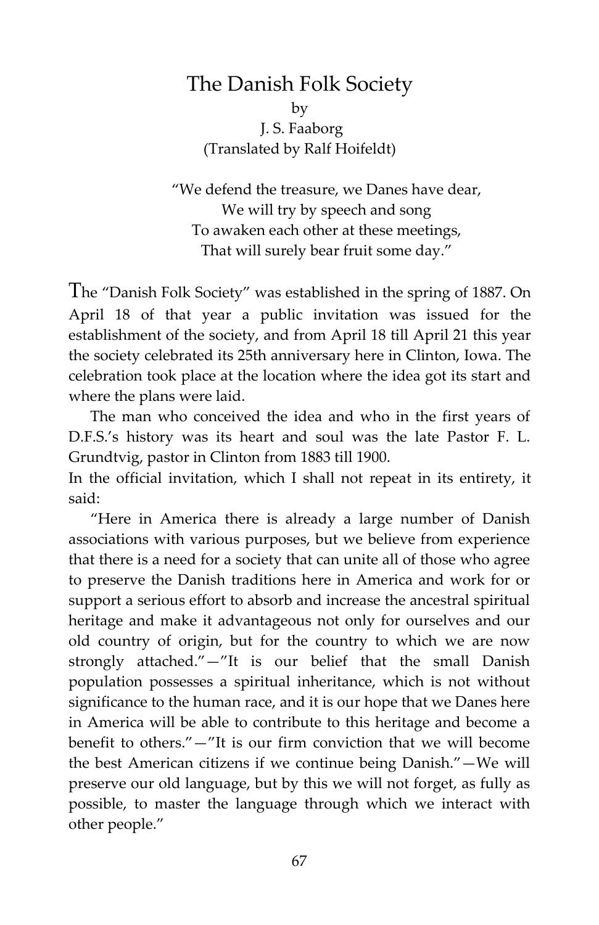## The Danish Folk Society

by J. S. Faaborg (Translated by Ralf Hoifeldt)

"We defend the treasure, we Danes have dear, We will try by speech and song To awaken each other at these meetings, That will surely bear fruit some day."

The "Danish Folk Society" was established in the spring of 1887. On April 18 of that year a public invitation was issued for the establishment of the society, and from April 18 till April 21 this year the society celebrated its 25th anniversary here in Clinton, Iowa. The celebration took place at the location where the idea got its start and where the plans were laid.

The man who conceived the idea and who in the first years of D.F.S.'s history was its heart and soul was the late Pastor F. L. Grundtvig, pastor in Clinton from 1883 till 1900.

In the official invitation, which I shall not repeat in its entirety, it said:

"Here in America there is already a large number of Danish associations with various purposes, but we believe from experience that there is a need for a society that can unite all of those who agree to preserve the Danish traditions here in America and work for or support a serious effort to absorb and increase the ancestral spiritual heritage and make it advantageous not only for ourselves and our old country of origin, but for the country to which we are now strongly attached."—"It is our belief that the small Danish population possesses a spiritual inheritance, which is not without significance to the human race, and it is our hope that we Danes here in America will be able to contribute to this heritage and become a benefit to others."—"It is our firm conviction that we will become the best American citizens if we continue being Danish."—We will preserve our old language, but by this we will not forget, as fully as possible, to master the language through which we interact with other people."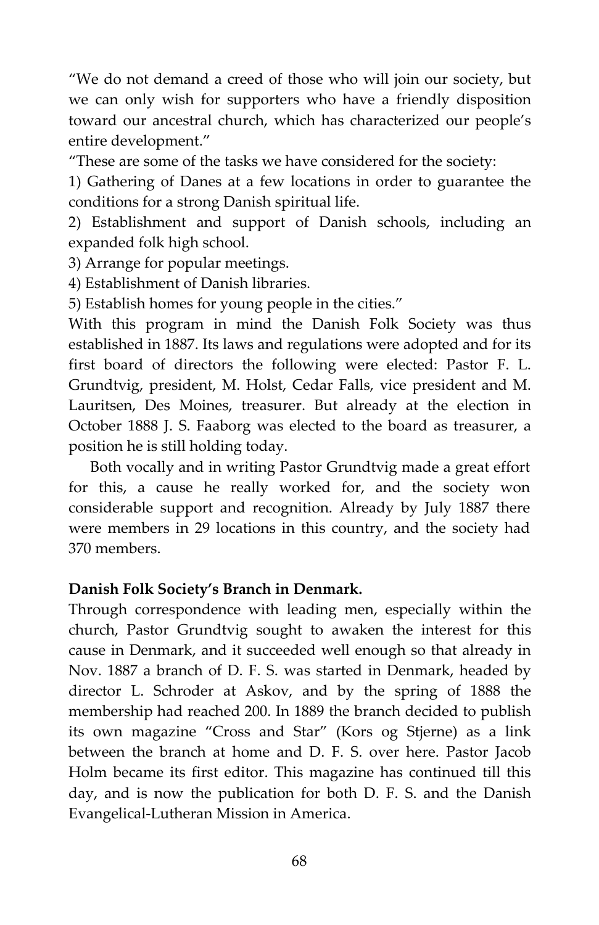"We do not demand a creed of those who will join our society, but we can only wish for supporters who have a friendly disposition toward our ancestral church, which has characterized our people's entire development."

"These are some of the tasks we have considered for the society:

1) Gathering of Danes at a few locations in order to guarantee the conditions for a strong Danish spiritual life.

2) Establishment and support of Danish schools, including an expanded folk high school.

3) Arrange for popular meetings.

4) Establishment of Danish libraries.

5) Establish homes for young people in the cities."

With this program in mind the Danish Folk Society was thus established in 1887. Its laws and regulations were adopted and for its first board of directors the following were elected: Pastor F. L. Grundtvig, president, M. Holst, Cedar Falls, vice president and M. Lauritsen, Des Moines, treasurer. But already at the election in October 1888 J. S. Faaborg was elected to the board as treasurer, a position he is still holding today.

Both vocally and in writing Pastor Grundtvig made a great effort for this, a cause he really worked for, and the society won considerable support and recognition. Already by July 1887 there were members in 29 locations in this country, and the society had 370 members.

### **Danish Folk Society's Branch in Denmark.**

Through correspondence with leading men, especially within the church, Pastor Grundtvig sought to awaken the interest for this cause in Denmark, and it succeeded well enough so that already in Nov. 1887 a branch of D. F. S. was started in Denmark, headed by director L. Schroder at Askov, and by the spring of 1888 the membership had reached 200. In 1889 the branch decided to publish its own magazine "Cross and Star" (Kors og Stjerne) as a link between the branch at home and D. F. S. over here. Pastor Jacob Holm became its first editor. This magazine has continued till this day, and is now the publication for both D. F. S. and the Danish Evangelical-Lutheran Mission in America.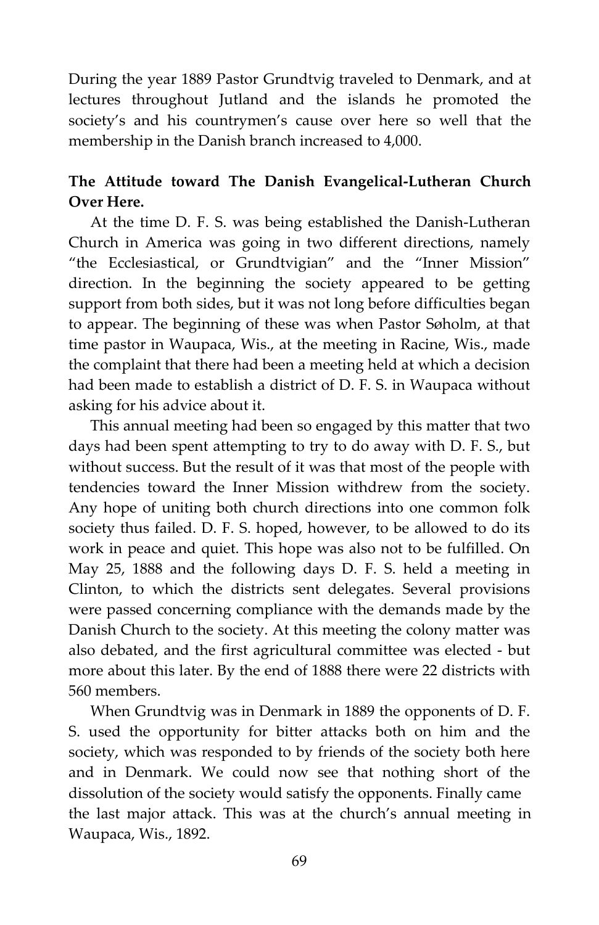During the year 1889 Pastor Grundtvig traveled to Denmark, and at lectures throughout Jutland and the islands he promoted the society's and his countrymen's cause over here so well that the membership in the Danish branch increased to 4,000.

## **The Attitude toward The Danish Evangelical-Lutheran Church Over Here.**

At the time D. F. S. was being established the Danish-Lutheran Church in America was going in two different directions, namely "the Ecclesiastical, or Grundtvigian" and the "Inner Mission" direction. In the beginning the society appeared to be getting support from both sides, but it was not long before difficulties began to appear. The beginning of these was when Pastor Søholm, at that time pastor in Waupaca, Wis., at the meeting in Racine, Wis., made the complaint that there had been a meeting held at which a decision had been made to establish a district of D. F. S. in Waupaca without asking for his advice about it.

This annual meeting had been so engaged by this matter that two days had been spent attempting to try to do away with D. F. S., but without success. But the result of it was that most of the people with tendencies toward the Inner Mission withdrew from the society. Any hope of uniting both church directions into one common folk society thus failed. D. F. S. hoped, however, to be allowed to do its work in peace and quiet. This hope was also not to be fulfilled. On May 25, 1888 and the following days D. F. S. held a meeting in Clinton, to which the districts sent delegates. Several provisions were passed concerning compliance with the demands made by the Danish Church to the society. At this meeting the colony matter was also debated, and the first agricultural committee was elected - but more about this later. By the end of 1888 there were 22 districts with 560 members.

When Grundtvig was in Denmark in 1889 the opponents of D. F. S. used the opportunity for bitter attacks both on him and the society, which was responded to by friends of the society both here and in Denmark. We could now see that nothing short of the dissolution of the society would satisfy the opponents. Finally came the last major attack. This was at the church's annual meeting in Waupaca, Wis., 1892.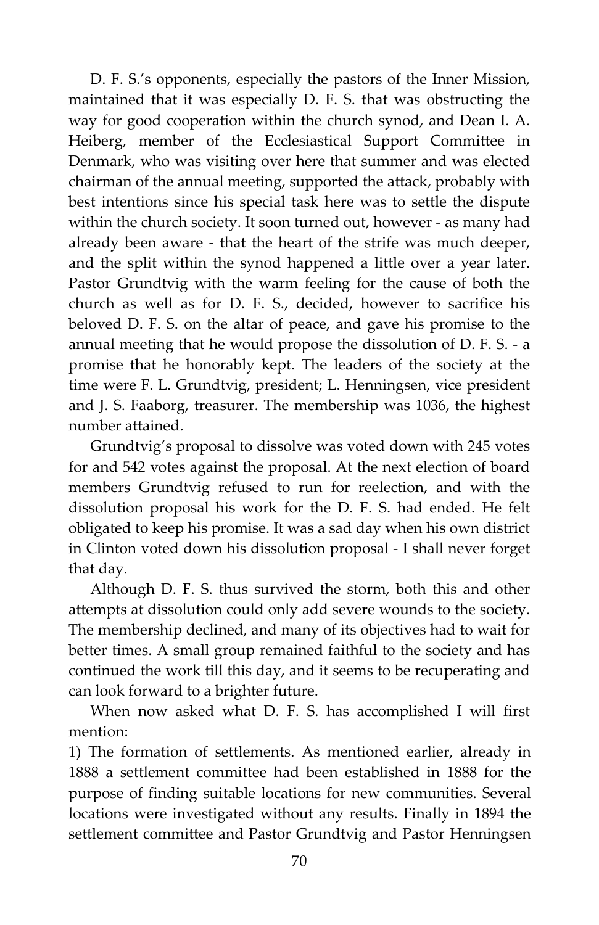D. F. S.'s opponents, especially the pastors of the Inner Mission, maintained that it was especially D. F. S. that was obstructing the way for good cooperation within the church synod, and Dean I. A. Heiberg, member of the Ecclesiastical Support Committee in Denmark, who was visiting over here that summer and was elected chairman of the annual meeting, supported the attack, probably with best intentions since his special task here was to settle the dispute within the church society. It soon turned out, however - as many had already been aware - that the heart of the strife was much deeper, and the split within the synod happened a little over a year later. Pastor Grundtvig with the warm feeling for the cause of both the church as well as for D. F. S., decided, however to sacrifice his beloved D. F. S. on the altar of peace, and gave his promise to the annual meeting that he would propose the dissolution of D. F. S. - a promise that he honorably kept. The leaders of the society at the time were F. L. Grundtvig, president; L. Henningsen, vice president and J. S. Faaborg, treasurer. The membership was 1036, the highest number attained.

Grundtvig's proposal to dissolve was voted down with 245 votes for and 542 votes against the proposal. At the next election of board members Grundtvig refused to run for reelection, and with the dissolution proposal his work for the D. F. S. had ended. He felt obligated to keep his promise. It was a sad day when his own district in Clinton voted down his dissolution proposal - I shall never forget that day.

Although D. F. S. thus survived the storm, both this and other attempts at dissolution could only add severe wounds to the society. The membership declined, and many of its objectives had to wait for better times. A small group remained faithful to the society and has continued the work till this day, and it seems to be recuperating and can look forward to a brighter future.

When now asked what D. F. S. has accomplished I will first mention:

1) The formation of settlements. As mentioned earlier, already in 1888 a settlement committee had been established in 1888 for the purpose of finding suitable locations for new communities. Several locations were investigated without any results. Finally in 1894 the settlement committee and Pastor Grundtvig and Pastor Henningsen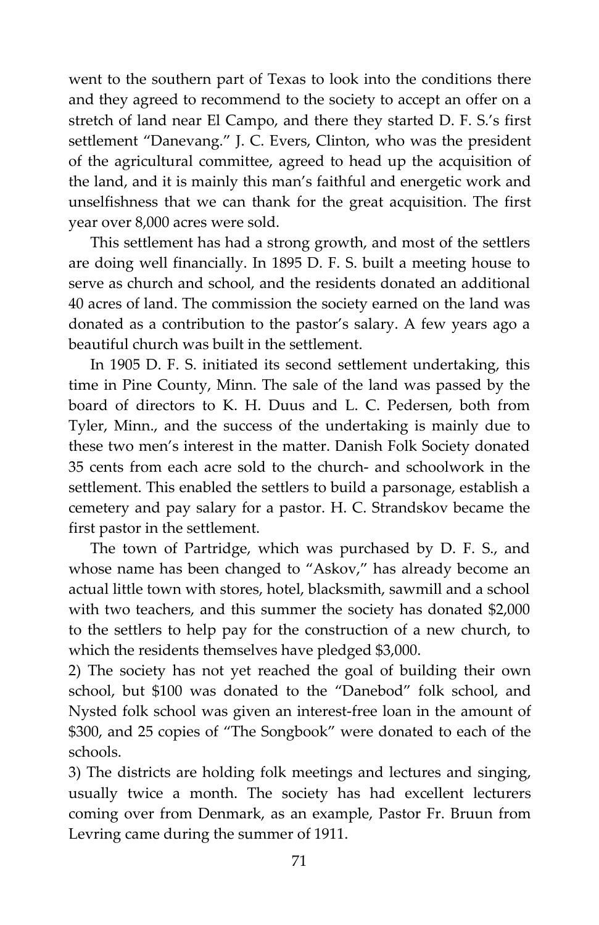went to the southern part of Texas to look into the conditions there and they agreed to recommend to the society to accept an offer on a stretch of land near El Campo, and there they started D. F. S.'s first settlement "Danevang." J. C. Evers, Clinton, who was the president of the agricultural committee, agreed to head up the acquisition of the land, and it is mainly this man's faithful and energetic work and unselfishness that we can thank for the great acquisition. The first year over 8,000 acres were sold.

This settlement has had a strong growth, and most of the settlers are doing well financially. In 1895 D. F. S. built a meeting house to serve as church and school, and the residents donated an additional 40 acres of land. The commission the society earned on the land was donated as a contribution to the pastor's salary. A few years ago a beautiful church was built in the settlement.

In 1905 D. F. S. initiated its second settlement undertaking, this time in Pine County, Minn. The sale of the land was passed by the board of directors to K. H. Duus and L. C. Pedersen, both from Tyler, Minn., and the success of the undertaking is mainly due to these two men's interest in the matter. Danish Folk Society donated 35 cents from each acre sold to the church- and schoolwork in the settlement. This enabled the settlers to build a parsonage, establish a cemetery and pay salary for a pastor. H. C. Strandskov became the first pastor in the settlement.

The town of Partridge, which was purchased by D. F. S., and whose name has been changed to "Askov," has already become an actual little town with stores, hotel, blacksmith, sawmill and a school with two teachers, and this summer the society has donated \$2,000 to the settlers to help pay for the construction of a new church, to which the residents themselves have pledged \$3,000.

2) The society has not yet reached the goal of building their own school, but \$100 was donated to the "Danebod" folk school, and Nysted folk school was given an interest-free loan in the amount of \$300, and 25 copies of "The Songbook" were donated to each of the schools.

3) The districts are holding folk meetings and lectures and singing, usually twice a month. The society has had excellent lecturers coming over from Denmark, as an example, Pastor Fr. Bruun from Levring came during the summer of 1911.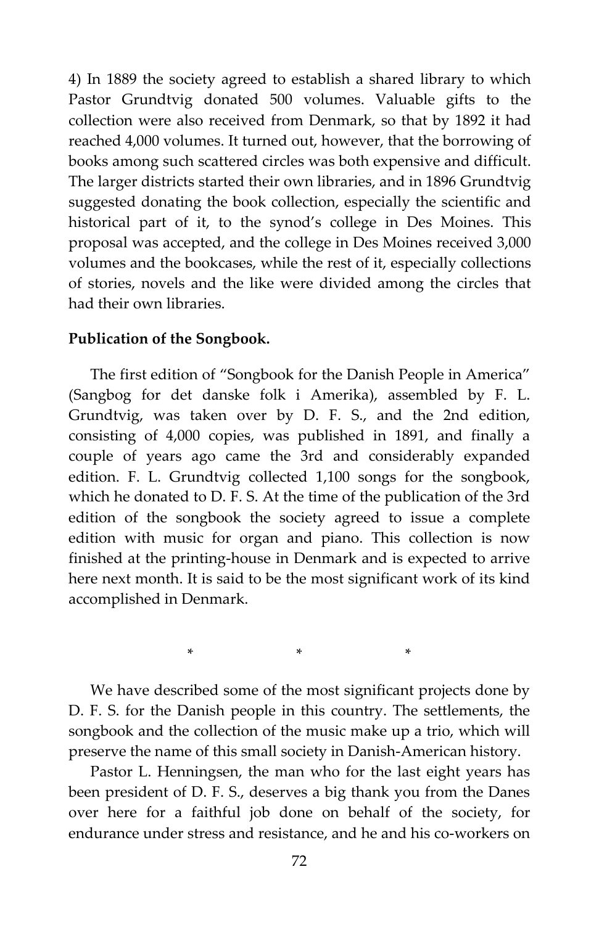4) In 1889 the society agreed to establish a shared library to which Pastor Grundtvig donated 500 volumes. Valuable gifts to the collection were also received from Denmark, so that by 1892 it had reached 4,000 volumes. It turned out, however, that the borrowing of books among such scattered circles was both expensive and difficult. The larger districts started their own libraries, and in 1896 Grundtvig suggested donating the book collection, especially the scientific and historical part of it, to the synod's college in Des Moines. This proposal was accepted, and the college in Des Moines received 3,000 volumes and the bookcases, while the rest of it, especially collections of stories, novels and the like were divided among the circles that had their own libraries.

#### **Publication of the Songbook.**

The first edition of "Songbook for the Danish People in America" (Sangbog for det danske folk i Amerika), assembled by F. L. Grundtvig, was taken over by D. F. S., and the 2nd edition, consisting of 4,000 copies, was published in 1891, and finally a couple of years ago came the 3rd and considerably expanded edition. F. L. Grundtvig collected 1,100 songs for the songbook, which he donated to D. F. S. At the time of the publication of the 3rd edition of the songbook the society agreed to issue a complete edition with music for organ and piano. This collection is now finished at the printing-house in Denmark and is expected to arrive here next month. It is said to be the most significant work of its kind accomplished in Denmark.

We have described some of the most significant projects done by D. F. S. for the Danish people in this country. The settlements, the songbook and the collection of the music make up a trio, which will preserve the name of this small society in Danish-American history.

 $*$  \*  $*$  \*

Pastor L. Henningsen, the man who for the last eight years has been president of D. F. S., deserves a big thank you from the Danes over here for a faithful job done on behalf of the society, for endurance under stress and resistance, and he and his co-workers on